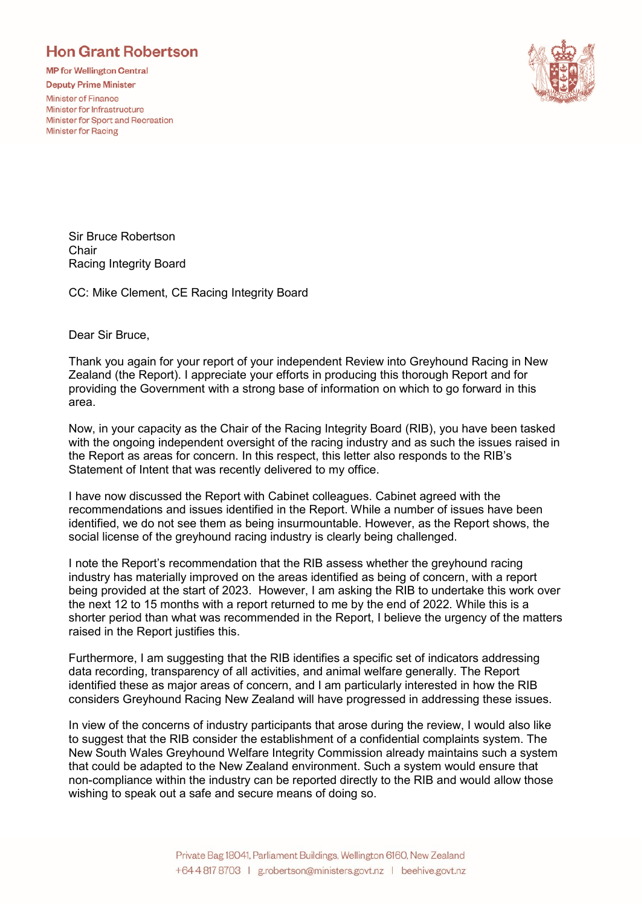## **Hon Grant Robertson**

**MP for Wellington Central** 

**Deputy Prime Minister** 

**Minister of Finance** Minister for Infrastructure Minister for Sport and Recreation **Minister for Racing** 



Sir Bruce Robertson **Chair** Racing Integrity Board

CC: Mike Clement, CE Racing Integrity Board

Dear Sir Bruce,

Thank you again for your report of your independent Review into Greyhound Racing in New Zealand (the Report). I appreciate your efforts in producing this thorough Report and for providing the Government with a strong base of information on which to go forward in this area.

Now, in your capacity as the Chair of the Racing Integrity Board (RIB), you have been tasked with the ongoing independent oversight of the racing industry and as such the issues raised in the Report as areas for concern. In this respect, this letter also responds to the RIB's Statement of Intent that was recently delivered to my office.

I have now discussed the Report with Cabinet colleagues. Cabinet agreed with the recommendations and issues identified in the Report. While a number of issues have been identified, we do not see them as being insurmountable. However, as the Report shows, the social license of the greyhound racing industry is clearly being challenged.

I note the Report's recommendation that the RIB assess whether the greyhound racing industry has materially improved on the areas identified as being of concern, with a report being provided at the start of 2023. However, I am asking the RIB to undertake this work over the next 12 to 15 months with a report returned to me by the end of 2022. While this is a shorter period than what was recommended in the Report, I believe the urgency of the matters raised in the Report justifies this.

Furthermore, I am suggesting that the RIB identifies a specific set of indicators addressing data recording, transparency of all activities, and animal welfare generally. The Report identified these as major areas of concern, and I am particularly interested in how the RIB considers Greyhound Racing New Zealand will have progressed in addressing these issues.

In view of the concerns of industry participants that arose during the review, I would also like to suggest that the RIB consider the establishment of a confidential complaints system. The New South Wales Greyhound Welfare Integrity Commission already maintains such a system that could be adapted to the New Zealand environment. Such a system would ensure that non-compliance within the industry can be reported directly to the RIB and would allow those wishing to speak out a safe and secure means of doing so.